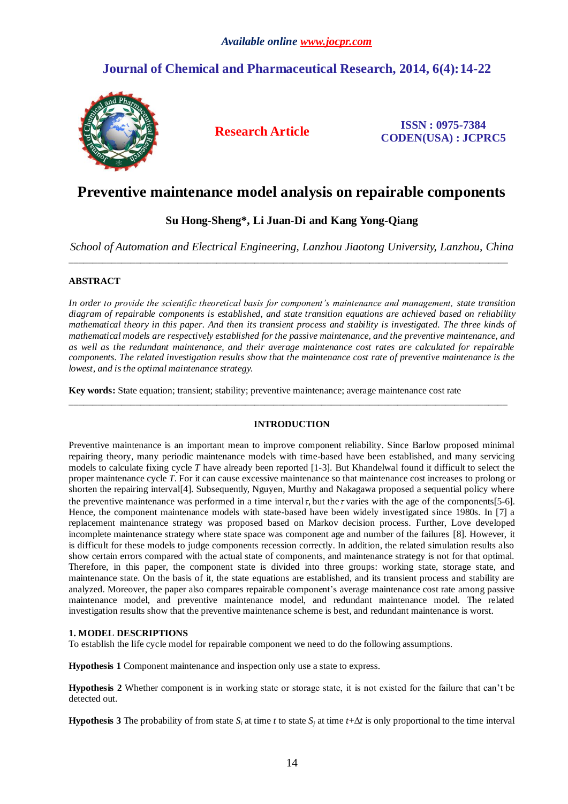## *Available online www.jocpr.com*

# **Journal of Chemical and Pharmaceutical Research, 2014, 6(4):14-22**



**Research Article ISSN : 0975-7384 CODEN(USA) : JCPRC5**

# **Preventive maintenance model analysis on repairable components**

## **Su Hong-Sheng\*, Li Juan-Di and Kang Yong-Qiang**

*School of Automation and Electrical Engineering, Lanzhou Jiaotong University, Lanzhou, China* \_\_\_\_\_\_\_\_\_\_\_\_\_\_\_\_\_\_\_\_\_\_\_\_\_\_\_\_\_\_\_\_\_\_\_\_\_\_\_\_\_\_\_\_\_\_\_\_\_\_\_\_\_\_\_\_\_\_\_\_\_\_\_\_\_\_\_\_\_\_\_\_\_\_\_\_\_\_\_\_\_\_\_\_\_\_\_\_\_\_\_\_

## **ABSTRACT**

*In order to provide the scientific theoretical basis for component's maintenance and management, state transition diagram of repairable components is established, and state transition equations are achieved based on reliability mathematical theory in this paper. And then its transient process and stability is investigated. The three kinds of mathematical models are respectively established for the passive maintenance, and the preventive maintenance, and as well as the redundant maintenance, and their average maintenance cost rates are calculated for repairable components. The related investigation results show that the maintenance cost rate of preventive maintenance is the lowest, and is the optimal maintenance strategy.*

**Key words:** State equation; transient; stability; preventive maintenance; average maintenance cost rate

## **INTRODUCTION**

\_\_\_\_\_\_\_\_\_\_\_\_\_\_\_\_\_\_\_\_\_\_\_\_\_\_\_\_\_\_\_\_\_\_\_\_\_\_\_\_\_\_\_\_\_\_\_\_\_\_\_\_\_\_\_\_\_\_\_\_\_\_\_\_\_\_\_\_\_\_\_\_\_\_\_\_\_\_\_\_\_\_\_\_\_\_\_\_\_\_\_\_

Preventive maintenance is an important mean to improve component reliability. Since Barlow proposed minimal repairing theory, many periodic maintenance models with time-based have been established, and many servicing models to calculate fixing cycle *T* have already been reported [1-3]. But Khandelwal found it difficult to select the proper maintenance cycle *T*. For it can cause excessive maintenance so that maintenance cost increases to prolong or shorten the repairing interval[4]. Subsequently, Nguyen, Murthy and Nakagawa proposed a sequential policy where the preventive maintenance was performed in a time interval  $\tau$ , but the  $\tau$  varies with the age of the components[5-6]. Hence, the component maintenance models with state-based have been widely investigated since 1980s. In [7] a replacement maintenance strategy was proposed based on Markov decision process. Further, Love developed incomplete maintenance strategy where state space was component age and number of the failures [8]. However, it is difficult for these models to judge components recession correctly. In addition, the related simulation results also show certain errors compared with the actual state of components, and maintenance strategy is not for that optimal. Therefore, in this paper, the component state is divided into three groups: working state, storage state, and maintenance state. On the basis of it, the state equations are established, and its transient process and stability are analyzed. Moreover, the paper also compares repairable component's average maintenance cost rate among passive maintenance model, and preventive maintenance model, and redundant maintenance model. The related investigation results show that the preventive maintenance scheme is best, and redundant maintenance is worst.

## **1. MODEL DESCRIPTIONS**

To establish the life cycle model for repairable component we need to do the following assumptions.

**Hypothesis 1** Component maintenance and inspection only use a state to express.

**Hypothesis 2** Whether component is in working state or storage state, it is not existed for the failure that can't be detected out.

**Hypothesis 3** The probability of from state  $S_i$  at time *t* to state  $S_i$  at time  $t + \Delta t$  is only proportional to the time interval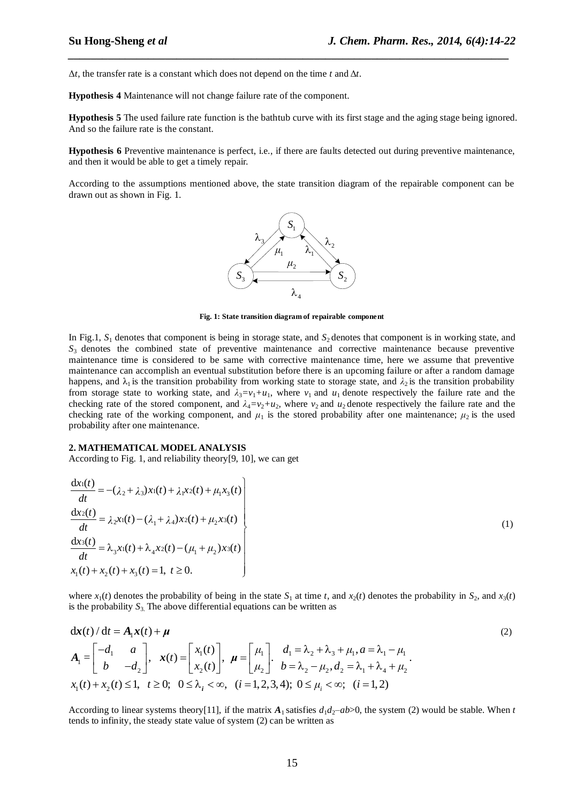$\Delta t$ , the transfer rate is a constant which does not depend on the time *t* and  $\Delta t$ .

**Hypothesis 4** Maintenance will not change failure rate of the component.

**Hypothesis 5** The used failure rate function is the bathtub curve with its first stage and the aging stage being ignored. And so the failure rate is the constant.

*\_\_\_\_\_\_\_\_\_\_\_\_\_\_\_\_\_\_\_\_\_\_\_\_\_\_\_\_\_\_\_\_\_\_\_\_\_\_\_\_\_\_\_\_\_\_\_\_\_\_\_\_\_\_\_\_\_\_\_\_\_\_\_\_\_\_\_\_\_\_\_\_\_\_\_\_\_*

**Hypothesis 6** Preventive maintenance is perfect, i.e., if there are faults detected out during preventive maintenance, and then it would be able to get a timely repair.

According to the assumptions mentioned above, the state transition diagram of the repairable component can be drawn out as shown in Fig. 1.



**Fig. 1: State transition diagram of repairable component**

In Fig.1,  $S_1$  denotes that component is being in storage state, and  $S_2$  denotes that component is in working state, and  $S_3$  denotes the combined state of preventive maintenance and corrective maintenance because preventive maintenance time is considered to be same with corrective maintenance time, here we assume that preventive maintenance can accomplish an eventual substitution before there is an upcoming failure or after a random damage happens, and  $\lambda_1$  is the transition probability from working state to storage state, and  $\lambda_2$  is the transition probability from storage state to working state, and  $\lambda_3 = v_1 + u_1$ , where  $v_1$  and  $u_1$  denote respectively the failure rate and the checking rate of the stored component, and  $\lambda_4 = v_2 + u_2$ , where  $v_2$  and  $u_2$  denote respectively the failure rate and the checking rate of the working component, and  $\mu_1$  is the stored probability after one maintenance;  $\mu_2$  is the used probability after one maintenance.

#### **2. MATHEMATICAL MODEL ANALYSIS**

According to Fig. 1, and reliability theory[9, 10], we can get

$$
\frac{dx_1(t)}{dt} = -(\lambda_2 + \lambda_3)x_1(t) + \lambda_1x_2(t) + \mu_1x_3(t)
$$
\n
$$
\frac{dx_2(t)}{dt} = \lambda_2x_1(t) - (\lambda_1 + \lambda_4)x_2(t) + \mu_2x_3(t)
$$
\n
$$
\frac{dx_3(t)}{dt} = \lambda_3x_1(t) + \lambda_4x_2(t) - (\mu_1 + \mu_2)x_3(t)
$$
\n
$$
x_1(t) + x_2(t) + x_3(t) = 1, \ t \ge 0.
$$
\n(1)

where  $x_1(t)$  denotes the probability of being in the state  $S_1$  at time *t*, and  $x_2(t)$  denotes the probability in  $S_2$ , and  $x_3(t)$ is the probability  $S_3$ . The above differential equations can be written as

is the probability 
$$
S_3
$$
. The above differential equations can be written as  
\n
$$
\mathbf{dx}(t) / dt = A_1 \mathbf{x}(t) + \boldsymbol{\mu}
$$
\n
$$
A_1 = \begin{bmatrix} -d_1 & a \\ b & -d_2 \end{bmatrix}, \quad \mathbf{x}(t) = \begin{bmatrix} x_1(t) \\ x_2(t) \end{bmatrix}, \quad \boldsymbol{\mu} = \begin{bmatrix} \mu_1 \\ \mu_2 \end{bmatrix}. \quad \begin{aligned} d_1 &= \lambda_2 + \lambda_3 + \mu_1, a = \lambda_1 - \mu_1 \\ b &= \lambda_2 - \mu_2, d_2 = \lambda_1 + \lambda_4 + \mu_2 \end{aligned} \tag{2}
$$
\n
$$
x_1(t) + x_2(t) \le 1, \quad t \ge 0; \quad 0 \le \lambda_i < \infty, \quad (i = 1, 2, 3, 4); \quad 0 \le \mu_i < \infty; \quad (i = 1, 2)
$$

According to linear systems theory[11], if the matrix  $A_1$  satisfies  $d_1d_2 - ab > 0$ , the system (2) would be stable. When *t* tends to infinity, the steady state value of system (2) can be written as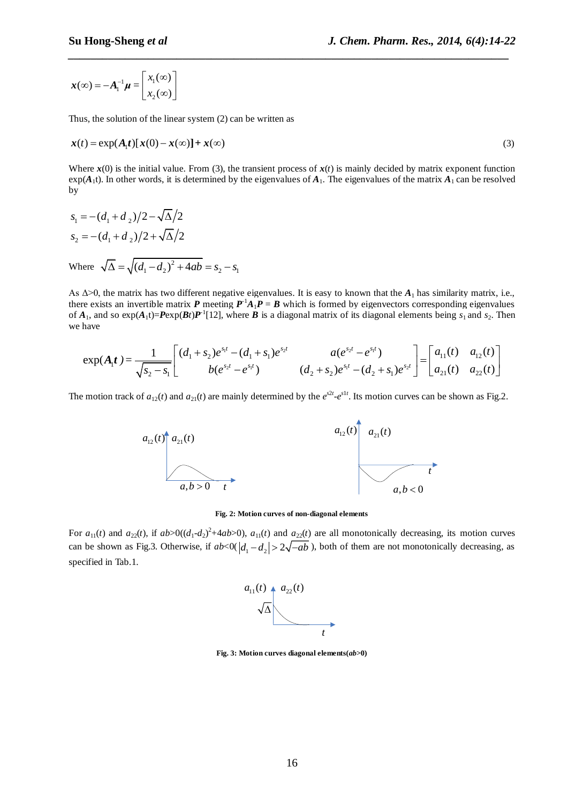$$
\boldsymbol{x}(\infty) = -\boldsymbol{A}_1^{-1}\boldsymbol{\mu} = \begin{bmatrix} x_1(\infty) \\ x_2(\infty) \end{bmatrix}
$$

Thus, the solution of the linear system (2) can be written as

$$
\mathbf{x}(t) = \exp(A_1 t)[\mathbf{x}(0) - \mathbf{x}(\infty)] + \mathbf{x}(\infty)
$$
\n(3)

*\_\_\_\_\_\_\_\_\_\_\_\_\_\_\_\_\_\_\_\_\_\_\_\_\_\_\_\_\_\_\_\_\_\_\_\_\_\_\_\_\_\_\_\_\_\_\_\_\_\_\_\_\_\_\_\_\_\_\_\_\_\_\_\_\_\_\_\_\_\_\_\_\_\_\_\_\_*

Where  $\mathbf{x}(0)$  is the initial value. From (3), the transient process of  $\mathbf{x}(t)$  is mainly decided by matrix exponent function  $exp(A_1t)$ . In other words, it is determined by the eigenvalues of  $A_1$ . The eigenvalues of the matrix  $A_1$  can be resolved by

$$
s_1 = -(d_1 + d_2)/2 - \sqrt{\Delta}/2
$$
  
\n
$$
s_2 = -(d_1 + d_2)/2 + \sqrt{\Delta}/2
$$
  
\nWhere  $\sqrt{\Delta} = \sqrt{(d_1 - d_2)^2 + 4ab} = s_2 - s_1$ 

As  $\Delta > 0$ , the matrix has two different negative eigenvalues. It is easy to known that the  $A_1$  has similarity matrix, i.e., there exists an invertible matrix *P* meeting  $P^{-1}A_1P = B$  which is formed by eigenvectors corresponding eigenvalues of  $A_1$ , and so  $\exp(A_1 t) = P \exp(Bt) P^{-1}[12]$ , where *B* is a diagonal matrix of its diagonal elements being  $s_1$  and  $s_2$ . Then we have ble matrix **P** meeting  $P^{-1}A_1P = B$  which is formed by eigenvectors corresponding eigenvalues<br>  $A = P^{-1}A_1P^{-1}$  (12), where **B** is a diagonal matrix of its diagonal elements being  $s_1$  and  $s_2$ . Then<br>  $\frac{1}{1-s_1}\begin{bmatrix} (d_$ 

$$
\mathbf{a}_{1}, \text{ and so } \exp(A_1 t) = \text{Pexp}(B t) \mathbf{P}^{-1}[12], \text{ where } B \text{ is a diagonal matrix of its diagonal elements being } s_1 \text{ and } s_2. \text{ Then}
$$
\n
$$
\exp(A_1 t) = \frac{1}{\sqrt{s_2 - s_1}} \begin{bmatrix} (d_1 + s_2)e^{s_1 t} - (d_1 + s_1)e^{s_2 t} & a(e^{s_2 t} - e^{s_1 t}) \\ b(e^{s_2 t} - e^{s_1 t}) & (d_2 + s_2)e^{s_1 t} - (d_2 + s_1)e^{s_2 t} \end{bmatrix} = \begin{bmatrix} a_{11}(t) & a_{12}(t) \\ a_{21}(t) & a_{22}(t) \end{bmatrix}
$$

The motion track of  $a_{12}(t)$  and  $a_{21}(t)$  are mainly determined by the  $e^{s2t}$ - $e^{s1t}$ . Its motion curves can be shown as Fig.2.



#### **Fig. 2: Motion curves of non-diagonal elements**

For  $a_{11}(t)$  and  $a_{22}(t)$ , if  $ab>0((d_1-d_2)^2+4ab>0)$ ,  $a_{11}(t)$  and  $a_{22}(t)$  are all monotonically decreasing, its motion curves can be shown as Fig.3. Otherwise, if  $ab < 0$  ( $|d_1 - d_2| > 2\sqrt{-ab}$ ), both of them are not monotonically decreasing, as specified in Tab.1.<br>  $a_{11}(t)$   $a_{22}(t)$ specified in Tab.1.



**Fig. 3: Motion curves diagonal elements(***ab***>0)**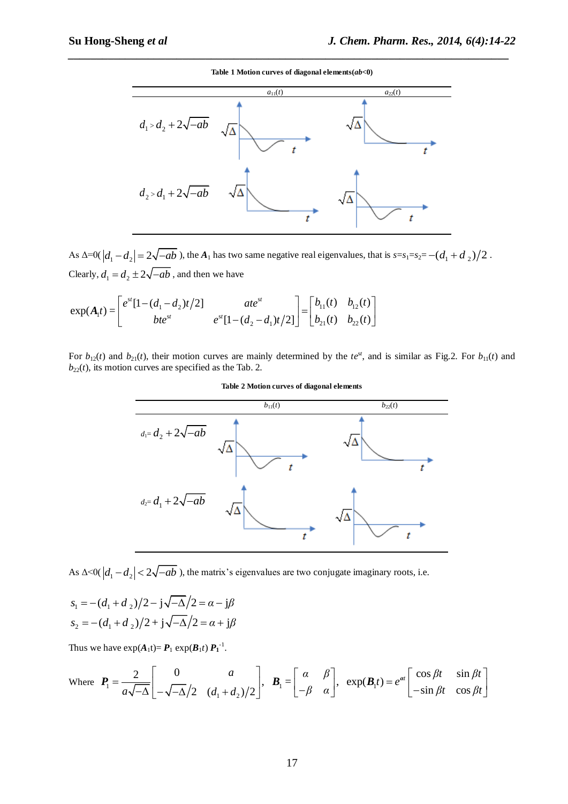*\_\_\_\_\_\_\_\_\_\_\_\_\_\_\_\_\_\_\_\_\_\_\_\_\_\_\_\_\_\_\_\_\_\_\_\_\_\_\_\_\_\_\_\_\_\_\_\_\_\_\_\_\_\_\_\_\_\_\_\_\_\_\_\_\_\_\_\_\_\_\_\_\_\_\_\_\_* **Table 1 Motion curves of diagonal elements(***ab***<0)**



As  $\Delta=0$   $\left|d_1-d_2\right|=2\sqrt{-ab}$  ), the  $A_1$  has two same negative real eigenvalues, that is  $s=s_1=s_2=-(d_1+d_2)/2$ . Clearly,  $d_1 = d_2 \pm 2\sqrt{-ab}$ , and then we have

Clearly, 
$$
d_1 = d_2 \pm 2\sqrt{-ab}
$$
, and then we have  
\n
$$
\exp(A_1 t) = \begin{bmatrix} e^{st} [1 - (d_1 - d_2)t/2] & at e^{st} \\ bte^{st} & e^{st} [1 - (d_2 - d_1)t/2] \end{bmatrix} = \begin{bmatrix} b_{11}(t) & b_{12}(t) \\ b_{21}(t) & b_{22}(t) \end{bmatrix}
$$

For  $b_{12}(t)$  and  $b_{21}(t)$ , their motion curves are mainly determined by the *te*<sup>st</sup>, and is similar as Fig.2. For  $b_{11}(t)$  and  $b_{22}(t)$ , its motion curves are specified as the Tab. 2.



**Table 2 Motion curves of diagonal elements**

As  $\Delta < 0$  ( $|d_1 - d_2| < 2\sqrt{-ab}$ ), the matrix's eigenvalues are two conjugate imaginary roots, i.e.

$$
s_1 = -(d_1 + d_2)/2 - j\sqrt{-\Delta}/2 = \alpha - j\beta
$$
  
\n
$$
s_2 = -(d_1 + d_2)/2 + j\sqrt{-\Delta}/2 = \alpha + j\beta
$$

Thus we have  $exp(A_1t) = P_1 exp(B_1t) P_1^{-1}$ .

$$
S_2 = -(a_1 + a_2)/2 + j\sqrt{-\Delta}/2 = a + j\rho
$$
  
\nThus we have  $\exp(A_1 t) = P_1 \exp(B_1 t) P_1^{-1}$ .  
\nWhere  $P_1 = \frac{2}{a\sqrt{-\Delta}} \begin{bmatrix} 0 & a \\ -\sqrt{-\Delta}/2 & (d_1 + d_2)/2 \end{bmatrix}$ ,  $B_1 = \begin{bmatrix} \alpha & \beta \\ -\beta & \alpha \end{bmatrix}$ ,  $\exp(B_1 t) = e^{\alpha t} \begin{bmatrix} \cos \beta t & \sin \beta t \\ -\sin \beta t & \cos \beta t \end{bmatrix}$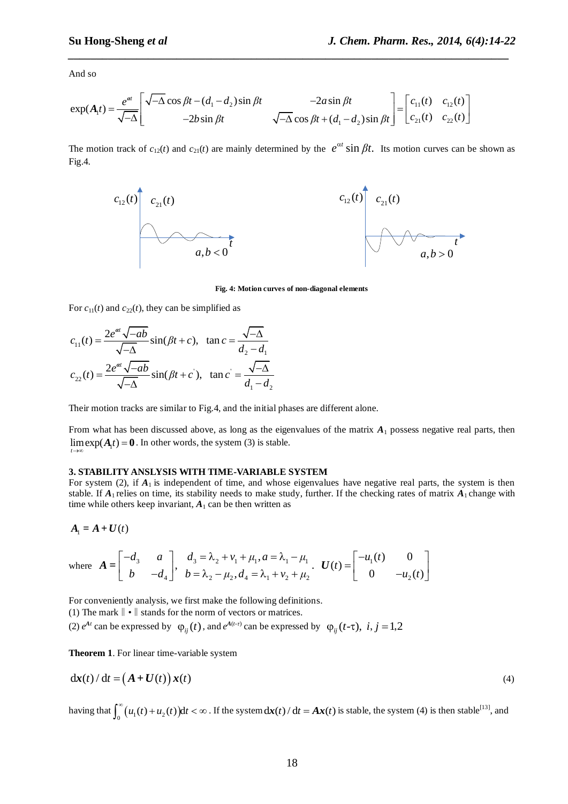And so

And so  
\n
$$
\exp(A_1 t) = \frac{e^{at}}{\sqrt{-\Delta}} \left[ \begin{array}{cc} \sqrt{-\Delta} \cos \beta t - (d_1 - d_2) \sin \beta t & -2a \sin \beta t \\ -2b \sin \beta t & \sqrt{-\Delta} \cos \beta t + (d_1 - d_2) \sin \beta t \end{array} \right] = \left[ \begin{array}{cc} c_{11}(t) & c_{12}(t) \\ c_{21}(t) & c_{22}(t) \end{array} \right]
$$

The motion track of  $c_{12}(t)$  and  $c_{21}(t)$  are mainly determined by the  $e^{\alpha t} \sin \beta t$ . Its motion curves can be shown as Fig.4.

*\_\_\_\_\_\_\_\_\_\_\_\_\_\_\_\_\_\_\_\_\_\_\_\_\_\_\_\_\_\_\_\_\_\_\_\_\_\_\_\_\_\_\_\_\_\_\_\_\_\_\_\_\_\_\_\_\_\_\_\_\_\_\_\_\_\_\_\_\_\_\_\_\_\_\_\_\_*



**Fig. 4: Motion curves of non-diagonal elements**

For 
$$
c_{11}(t)
$$
 and  $c_{22}(t)$ , they can be simplified as  
\n
$$
c_{11}(t) = \frac{2e^{\alpha t} \sqrt{-ab}}{\sqrt{-\Delta}} \sin(\beta t + c), \quad \tan c = \frac{\sqrt{-\Delta}}{d_2 - d_1}
$$
\n
$$
c_{22}(t) = \frac{2e^{\alpha t} \sqrt{-ab}}{\sqrt{-\Delta}} \sin(\beta t + c), \quad \tan c = \frac{\sqrt{-\Delta}}{d_1 - d_2}
$$

Their motion tracks are similar to Fig.4, and the initial phases are different alone.

From what has been discussed above, as long as the eigenvalues of the matrix  $A_1$  possess negative real parts, then  $\lim_{t \to \infty} \exp(A_1 t) = 0$ . In other words, the system (3) is stable. *t*  $\rightarrow \infty$ 

#### **3. STABILITY ANSLYSIS WITH TIME-VARIABLE SYSTEM**

For system (2), if  $A_1$  is independent of time, and whose eigenvalues have negative real parts, the system is then stable. If  $A_1$  relies on time, its stability needs to make study, further. If the checking rates of matrix  $A_1$  change with time while others keep invariant,  $A_1$  can be then written as

$$
A_{\rm l}=A+U(t)
$$

$$
A_1 = A + U(t)
$$
  
where 
$$
A = \begin{bmatrix} -d_3 & a \\ b & -d_4 \end{bmatrix}, \quad \begin{array}{l} d_3 = \lambda_2 + v_1 + \mu_1, a = \lambda_1 - \mu_1 \\ b = \lambda_2 - \mu_2, d_4 = \lambda_1 + v_2 + \mu_2 \end{array}.
$$
 
$$
U(t) = \begin{bmatrix} -u_1(t) & 0 \\ 0 & -u_2(t) \end{bmatrix}
$$

For conveniently analysis, we first make the following definitions.

(1) The mark  $\|\cdot\|$  stands for the norm of vectors or matrices.

(2)  $e^{At}$  can be expressed by  $\varphi_{ij}(t)$ , and  $e^{A(t-\tau)}$  can be expressed by  $\varphi_{ij}(t-\tau)$ ,  $i, j = 1, 2$ 

**Theorem 1**. For linear time-variable system

$$
\mathrm{d} \mathbf{x}(t) / \mathrm{d} t = \left( \mathbf{A} + \mathbf{U}(t) \right) \mathbf{x}(t) \tag{4}
$$

having that  $\int_0^{\infty} (u_1(t) + u_2(t)) dt < \infty$ . If the system  $dx(t)/dt = Ax(t)$  is stable, the system (4) is then stable<sup>[13]</sup>, and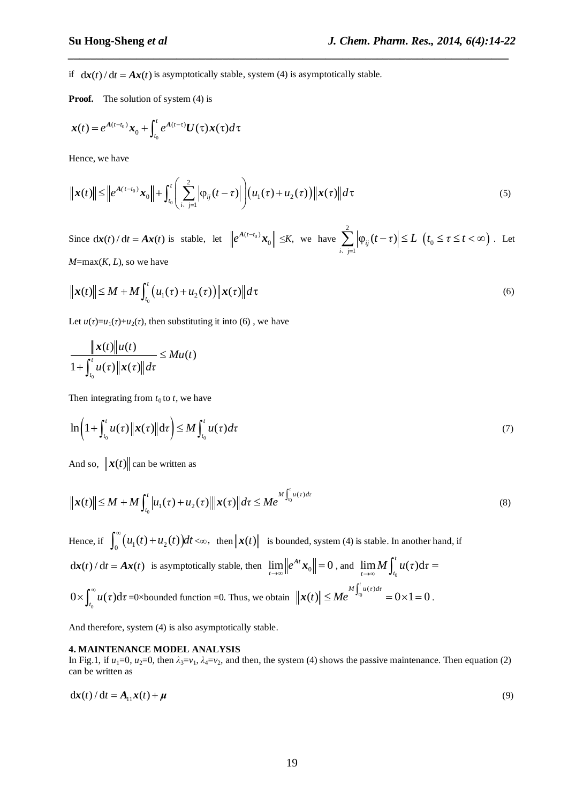if  $dx(t)/dt = Ax(t)$  is asymptotically stable, system (4) is asymptotically stable.

**Proof.** The solution of system (4) is

$$
\boldsymbol{x}(t) = e^{A(t-t_0)}\boldsymbol{x}_0 + \int_{t_0}^t e^{A(t-\tau)}\boldsymbol{U}(\tau)\boldsymbol{x}(\tau)d\tau
$$

Hence, we have

Hence, we have  
\n
$$
\|\mathbf{x}(t)\| \leq \left\|e^{A(t-t_0)}\mathbf{x}_0\right\| + \int_{t_0}^t \left(\sum_{i,j=1}^2 \left|\varphi_{ij}(t-\tau)\right|\right) \left(u_1(\tau) + u_2(\tau)\right) \|\mathbf{x}(\tau)\| d\tau
$$
\n(5)

*\_\_\_\_\_\_\_\_\_\_\_\_\_\_\_\_\_\_\_\_\_\_\_\_\_\_\_\_\_\_\_\_\_\_\_\_\_\_\_\_\_\_\_\_\_\_\_\_\_\_\_\_\_\_\_\_\_\_\_\_\_\_\_\_\_\_\_\_\_\_\_\_\_\_\_\_\_*

Since  $dx(t)/dt = Ax(t)$  is stable, let  $\left\|e^{A(t-t_0)}\right\|$  $\mathbf{0}$  $\left\| e^{A(t-t_0)} \mathbf{x}_0 \right\| \leq K$ , we have 2  $j=1$  $b_{ij} (t - \tau)$ *i*  $|t-\tau| \leq L$  $\sum_{i,j=1}^N \Big|\varphi_{ij}(t-\tau)\Big|\leq I$  $(t_0 \leq \tau \leq t < \infty)$ . Let  $M = max(K, L)$ , so we have

$$
\|\mathbf{x}(t)\| \le M + M \int_{t_0}^t (u_1(\tau) + u_2(\tau)) \|\mathbf{x}(\tau)\| d\tau
$$
\n(6)

Let  $u(\tau) = u_1(\tau) + u_2(\tau)$ , then substituting it into (6), we have

$$
\frac{\|x(t)\|u(t)}{1+\int_{t_0}^t u(\tau)\|x(\tau)\|d\tau} \leq Mu(t)
$$

Then integrating from  $t_0$  to  $t$ , we have

$$
\ln\left(1+\int_{t_0}^t u(\tau)\|\mathbf{x}(\tau)\|d\tau\right) \leq M \int_{t_0}^t u(\tau)d\tau
$$
\n(7)

And so,  $\|\mathbf{x}(t)\|$  can be written as

$$
\|\mathbf{x}(t)\| \le M + M \int_{t_0}^t |u_1(\tau) + u_2(\tau)||\mathbf{x}(\tau)||d\tau \le Me^{M \int_{t_0}^t u(\tau)d\tau}
$$
\n(8)

Hence, if  $\int_0^\infty (u_1(t) + u_2(t)) dt < \infty$ , then  $||x(t)||$  is bounded, system (4) is stable. In another hand, if  $\frac{d\mathbf{x}(t)}{dt} = A\mathbf{x}(t)$  is asymptotically stable, then  $\lim_{t \to \infty} \left\| e^{At} \mathbf{x}_0 \right\| = 0$ , and  $\lim_{t \to \infty} M \int_{t_0}^t u(\tau) d\tau$  $\lim_{t\to\infty}M\int_{t_0}^t u(\tau)\mathrm{d}\tau=$  $0 \times \int_{t_0}^{\infty} u(\tau) d\tau = 0$  ×bounded function =0. Thus, we obtain  $||x(t)|| \le Me^{\frac{M \int_{t_0}^{t} u(\tau) d\tau}} = 0 \times 1 = 0$  $\|x(t)\| \le Me^{M \int_{t_0}^t u(\tau) d\tau} = 0 \times 1 = 0$ .

And therefore, system (4) is also asymptotically stable.

#### **4. MAINTENANCE MODEL ANALYSIS**

In Fig.1, if  $u_1=0$ ,  $u_2=0$ , then  $\lambda_3=v_1$ ,  $\lambda_4=v_2$ , and then, the system (4) shows the passive maintenance. Then equation (2) can be written as

$$
\mathrm{d}\mathbf{x}(t)/\mathrm{d}t = A_{11}\mathbf{x}(t) + \boldsymbol{\mu}
$$
\n(9)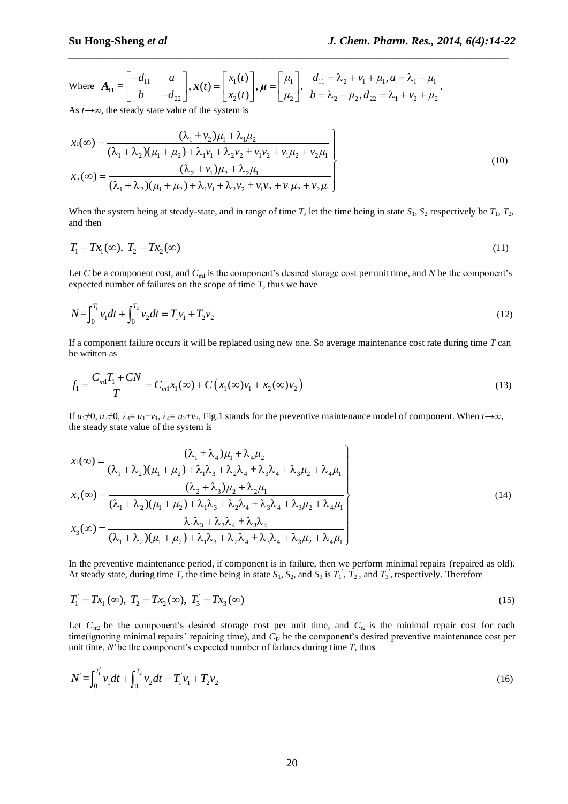**Su Hong-Sheng *et al***  
\n*J. Chem.n Res.*, 2014, 6(*etc.*)  
\nWhere 
$$
A_{11} = \begin{bmatrix} -d_{11} & a \\ b & -d_{22} \end{bmatrix}
$$
,  $x(t) = \begin{bmatrix} x_1(t) \\ x_2(t) \end{bmatrix}$ ,  $\mu = \begin{bmatrix} \mu_1 \\ \mu_2 \end{bmatrix}$ .  $\begin{aligned} d_{11} &= \lambda_2 + v_1 + \mu_1, a = \lambda_1 - \mu_1 \\ b &= \lambda_2 - \mu_2, d_{22} = \lambda_1 + v_2 + \mu_2 \end{aligned}$ .

As 
$$
t \to \infty
$$
, the steady state value of the system is  
\n
$$
x_1(\infty) = \frac{(\lambda_1 + \nu_2)\mu_1 + \lambda_1\mu_2}{(\lambda_1 + \lambda_2)(\mu_1 + \mu_2) + \lambda_1\nu_1 + \lambda_2\nu_2 + \nu_1\nu_2 + \nu_1\mu_2 + \nu_2\mu_1}
$$
\n
$$
x_2(\infty) = \frac{(\lambda_2 + \nu_1)\mu_2 + \lambda_2\mu_1}{(\lambda_1 + \lambda_2)(\mu_1 + \mu_2) + \lambda_1\nu_1 + \lambda_2\nu_2 + \nu_1\nu_2 + \nu_1\mu_2 + \nu_2\mu_1}
$$
\n(10)

*\_\_\_\_\_\_\_\_\_\_\_\_\_\_\_\_\_\_\_\_\_\_\_\_\_\_\_\_\_\_\_\_\_\_\_\_\_\_\_\_\_\_\_\_\_\_\_\_\_\_\_\_\_\_\_\_\_\_\_\_\_\_\_\_\_\_\_\_\_\_\_\_\_\_\_\_\_*

When the system being at steady-state, and in range of time *T*, let the time being in state  $S_1$ ,  $S_2$  respectively be  $T_1$ ,  $T_2$ , and then

$$
T_1 = Tx_1(\infty), \ T_2 = Tx_2(\infty) \tag{11}
$$

Let *C* be a component cost, and  $C_{ml}$  is the component's desired storage cost per unit time, and *N* be the component's expected number of failures on the scope of time *T*, thus we have

$$
N = \int_0^{T_1} v_1 dt + \int_0^{T_2} v_2 dt = T_1 v_1 + T_2 v_2
$$
\n(12)

If a component failure occurs it will be replaced using new one. So average maintenance cost rate during time *T* can be written as

be written as  
\n
$$
f_1 = \frac{C_{m1}T_1 + CN}{T} = C_{m1}x_1(\infty) + C(x_1(\infty)v_1 + x_2(\infty)v_2)
$$
\n(13)

If  $u_1 \neq 0$ ,  $u_2 \neq 0$ ,  $\lambda_3 = u_1 + v_1$ ,  $\lambda_4 = u_2 + v_2$ , Fig.1 stands for the preventive maintenance model of component. When  $t \to \infty$ ,

$$
x_1(\infty) = \frac{(\lambda_1 + \lambda_4)\mu_1 + \lambda_4\mu_2}{(\lambda_1 + \lambda_2)(\mu_1 + \mu_2) + \lambda_1\lambda_3 + \lambda_2\lambda_4 + \lambda_3\lambda_4 + \lambda_3\mu_2 + \lambda_4\mu_1}
$$
  
\n
$$
x_2(\infty) = \frac{(\lambda_2 + \lambda_3)\mu_2 + \lambda_2\mu_1}{(\lambda_1 + \lambda_2)(\mu_1 + \mu_2) + \lambda_1\lambda_3 + \lambda_2\lambda_4 + \lambda_3\lambda_4 + \lambda_3\mu_2 + \lambda_4\mu_1}
$$
  
\n
$$
x_3(\infty) = \frac{(\lambda_2 + \lambda_3)\mu_2 + \lambda_2\mu_1}{(\lambda_1 + \lambda_2)(\mu_1 + \mu_2) + \lambda_1\lambda_3 + \lambda_2\lambda_4 + \lambda_3\lambda_4 + \lambda_3\mu_2 + \lambda_4\mu_1}
$$
  
\n
$$
x_3(\infty) = \frac{\lambda_1\lambda_3 + \lambda_2\lambda_4 + \lambda_3\lambda_4}{(\lambda_1 + \lambda_2)(\mu_1 + \mu_2) + \lambda_1\lambda_3 + \lambda_2\lambda_4 + \lambda_3\lambda_4 + \lambda_3\mu_2 + \lambda_4\mu_1}
$$
 (14)

In the preventive maintenance period, if component is in failure, then we perform minimal repairs (repaired as old). At steady state, during time *T*, the time being in state  $S_1$ ,  $S_2$ , and  $S_3$  is  $T_1$ ,  $T_2$ , and  $T_3$ , respectively. Therefore

$$
T_1 = Tx_1(\infty), \ T_2 = Tx_2(\infty), \ T_3 = Tx_3(\infty)
$$
\n(15)

Let  $C_{m2}$  be the component's desired storage cost per unit time, and  $C_{r2}$  is the minimal repair cost for each time(ignoring minimal repairs' repairing time), and  $C<sub>2</sub>$  be the component's desired preventive maintenance cost per unit time, *N*'be the component's expected number of failures during time *T*, thus

$$
N = \int_0^{T_1} v_1 dt + \int_0^{T_2} v_2 dt = T_1 v_1 + T_2 v_2
$$
\n(16)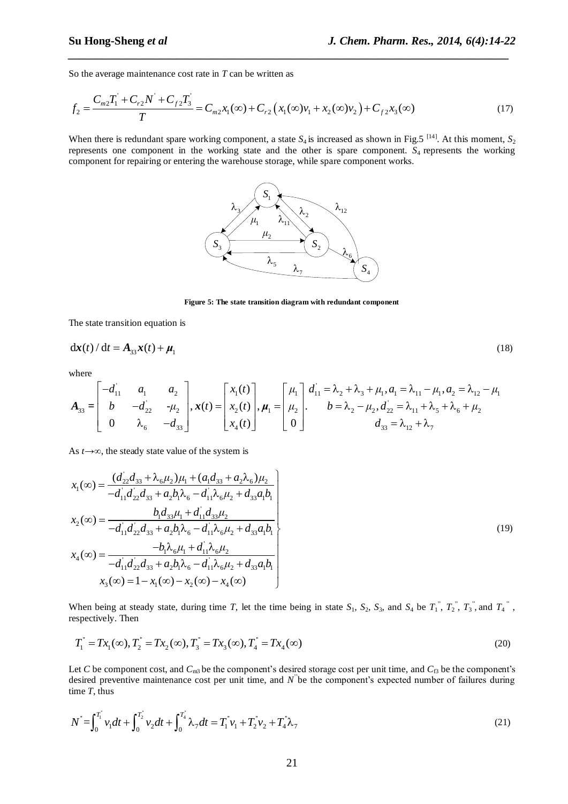So the average maintenance cost rate in *T* can be written as  
\n
$$
f_2 = \frac{C_{m2}T_1^{\prime} + C_{r2}N^{\prime} + C_{f2}T_3^{\prime}}{T} = C_{m2}x_1(\infty) + C_{r2} (x_1(\infty)v_1 + x_2(\infty)v_2) + C_{f2}x_3(\infty)
$$
\n(17)

*\_\_\_\_\_\_\_\_\_\_\_\_\_\_\_\_\_\_\_\_\_\_\_\_\_\_\_\_\_\_\_\_\_\_\_\_\_\_\_\_\_\_\_\_\_\_\_\_\_\_\_\_\_\_\_\_\_\_\_\_\_\_\_\_\_\_\_\_\_\_\_\_\_\_\_\_\_*

When there is redundant spare working component, a state  $S_4$  is increased as shown in Fig.5<sup>[14]</sup>. At this moment,  $S_2$ represents one component in the working state and the other is spare component*. S*4 represents the working component for repairing or entering the warehouse storage, while spare component works.



**Figure 5: The state transition diagram with redundant component**

The state transition equation is

$$
\mathrm{d}\mathbf{x}(t) / \mathrm{d}t = A_{33}\mathbf{x}(t) + \boldsymbol{\mu}_1 \tag{18}
$$

where

$$
\mathbf{dx}(t) / dt = A_{33}\mathbf{x}(t) + \boldsymbol{\mu}_{1}
$$
\n(18)  
\nwhere  
\n
$$
A_{33} = \begin{bmatrix} -d_{11} & a_{1} & a_{2} \\ b & -d_{22} & -\mu_{2} \\ 0 & \lambda_{6} & -d_{33} \end{bmatrix}, \mathbf{x}(t) = \begin{bmatrix} x_{1}(t) \\ x_{2}(t) \\ x_{4}(t) \end{bmatrix}, \boldsymbol{\mu}_{1} = \begin{bmatrix} \mu_{1} \\ \mu_{2} \\ 0 \end{bmatrix}, \boldsymbol{\mu}_{2} = \begin{bmatrix} \lambda_{11} \\ \mu_{2} \\ \lambda_{31} \end{bmatrix}, \boldsymbol{\mu}_{2} = \lambda_{12} + \lambda_{13} + \mu_{13} \boldsymbol{\mu}_{12} = \lambda_{11} + \lambda_{12} + \lambda_{13} + \mu_{14} \boldsymbol{\mu}_{13} = \lambda_{12} + \lambda_{13} + \lambda_{14} + \lambda_{15} + \lambda_{16} + \mu_{24}
$$
\n(19)  
\n
$$
d_{33} = \lambda_{12} + \lambda_{13}
$$
\n(18)

As 
$$
t \to \infty
$$
, the steady state value of the system is  
\n
$$
x_1(\infty) = \frac{(d_{22}d_{33} + \lambda_6\mu_2)\mu_1 + (a_1d_{33} + a_2\lambda_6)\mu_2}{-d_{11}d_{22}d_{33} + a_2b_1\lambda_6 - d_{11}\lambda_6\mu_2 + d_{33}a_1b_1}
$$
\n
$$
x_2(\infty) = \frac{b_1d_{33}\mu_1 + d_{11}d_{33}\mu_2}{-d_{11}d_{22}d_{33} + a_2b_1\lambda_6 - d_{11}\lambda_6\mu_2 + d_{33}a_1b_1}
$$
\n
$$
x_4(\infty) = \frac{-b_1\lambda_6\mu_1 + d_{11}\lambda_6\mu_2}{-d_{11}d_{22}d_{33} + a_2b_1\lambda_6 - d_{11}\lambda_6\mu_2 + d_{33}a_1b_1}
$$
\n
$$
x_3(\infty) = 1 - x_1(\infty) - x_2(\infty) - x_4(\infty)
$$
\n(19)

When being at steady state, during time *T*, let the time being in state  $S_1$ ,  $S_2$ ,  $S_3$ , and  $S_4$  be  $T_1$ <sup>"</sup>,  $T_2$ <sup>"</sup>,  $T_3$ <sup>"</sup>, and  $T_4$ <sup>"</sup>, respectively. Then

respectively. Then  
\n
$$
T_1^{\dagger} = Tx_1(\infty), T_2^{\dagger} = Tx_2(\infty), T_3^{\dagger} = Tx_3(\infty), T_4^{\dagger} = Tx_4(\infty)
$$
\n(20)

Let *C* be component cost, and  $C_{m3}$  be the component's desired storage cost per unit time, and  $C_{f3}$  be the component's desired preventive maintenance cost per unit time, and *N*<sup>"</sup>be the component's expected number of failures during time *T*, thus

time T, thus  
\n
$$
N^* = \int_0^{T_1^*} v_1 dt + \int_0^{T_2^*} v_2 dt + \int_0^{T_4^*} \lambda_7 dt = T_1^* v_1 + T_2^* v_2 + T_4^* \lambda_7
$$
\n(21)